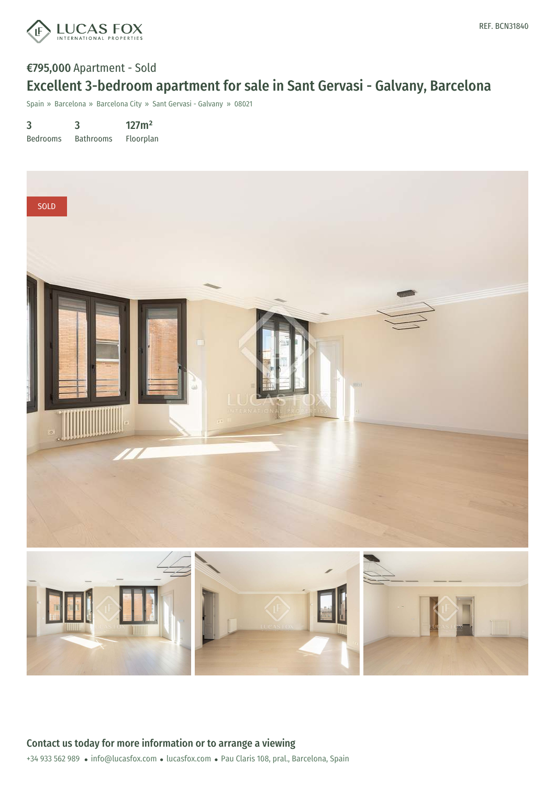

## €795,000 Apartment - Sold Excellent 3-bedroom apartment for sale in Sant Gervasi - Galvany, Barcelona

Spain » Barcelona » Barcelona City » Sant Gervasi - Galvany » 08021

3 Bedrooms 3 Bathrooms 127m² Floorplan

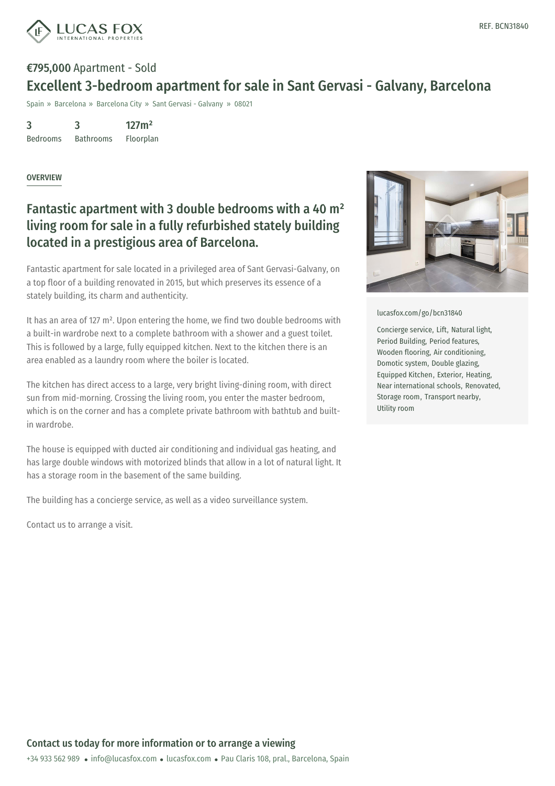

# €795,000 Apartment - Sold Excellent 3-bedroom apartment for sale in Sant Gervasi - Galvany, Barcelona

Spain » Barcelona » Barcelona City » Sant Gervasi - Galvany » 08021

3 Bedrooms 3 Bathrooms 127m²

Floorplan

#### OVERVIEW

### Fantastic apartment with 3 double bedrooms with a 40 m² living room for sale in a fully refurbished stately building located in a prestigious area of Barcelona.

Fantastic apartment for sale located in a privileged area of Sant Gervasi-Galvany, on a top floor of a building renovated in 2015, but which preserves its essence of a stately building, its charm and authenticity.

It has an area of 127 m<sup>2</sup>. Upon entering the home, we find two double bedrooms with a built-in wardrobe next to a complete bathroom with a shower and a guest toilet. This is followed by a large, fully equipped kitchen. Next to the kitchen there is an area enabled as a laundry room where the boiler is located.

The kitchen has direct access to a large, very bright living-dining room, with direct sun from mid-morning. Crossing the living room, you enter the master bedroom, which is on the corner and has a complete private bathroom with bathtub and builtin wardrobe.

The house is equipped with ducted air conditioning and individual gas heating, and has large double windows with motorized blinds that allow in a lot of natural light. It has a storage room in the basement of the same building.

The building has a concierge service, as well as a video surveillance system.

Contact us to arrange a visit.



[lucasfox.com/go/bcn31840](https://www.lucasfox.com/go/bcn31840)

Concierge service, Lift, Natural light, Period Building, Period features, Wooden flooring, Air conditioning, Domotic system, Double glazing, Equipped Kitchen, Exterior, Heating, Near international schools, Renovated, Storage room, Transport nearby, Utility room